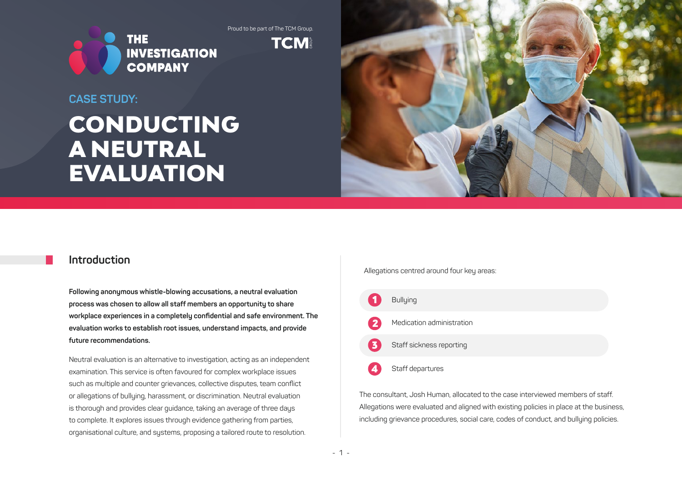Proud to be part of The TCM Group.



**TCM** 

### **CASE STUDY:**

# CONDUCTING A NEUTRAL EVALUATION



### **Introduction**

**Following anonymous whistle-blowing accusations, a neutral evaluation process was chosen to allow all staff members an opportunity to share workplace experiences in a completely confidential and safe environment. The evaluation works to establish root issues, understand impacts, and provide future recommendations.** 

Neutral evaluation is an alternative to investigation, acting as an independent examination. This service is often favoured for complex workplace issues such as multiple and counter grievances, collective disputes, team conflict or allegations of bullying, harassment, or discrimination. Neutral evaluation is thorough and provides clear guidance, taking an average of three days to complete. It explores issues through evidence gathering from parties, organisational culture, and systems, proposing a tailored route to resolution.

Allegations centred around four key areas:



The consultant, Josh Human, allocated to the case interviewed members of staff. Allegations were evaluated and aligned with existing policies in place at the business, including grievance procedures, social care, codes of conduct, and bullying policies.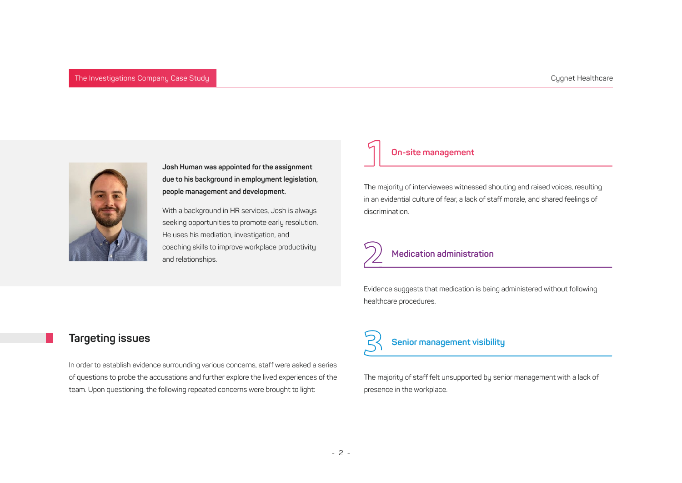

**Josh Human was appointed for the assignment due to his background in employment legislation, people management and development.** 

With a background in HR services, Josh is always seeking opportunities to promote early resolution. He uses his mediation, investigation, and coaching skills to improve workplace productivity and relationships.

#### **On-site management**

The majority of interviewees witnessed shouting and raised voices, resulting in an evidential culture of fear, a lack of staff morale, and shared feelings of discrimination.

### **Medication administration**

Evidence suggests that medication is being administered without following healthcare procedures.

### **Targeting issues**

In order to establish evidence surrounding various concerns, staff were asked a series of questions to probe the accusations and further explore the lived experiences of the team. Upon questioning, the following repeated concerns were brought to light:

## **Senior management visibility**

The majority of staff felt unsupported by senior management with a lack of presence in the workplace.